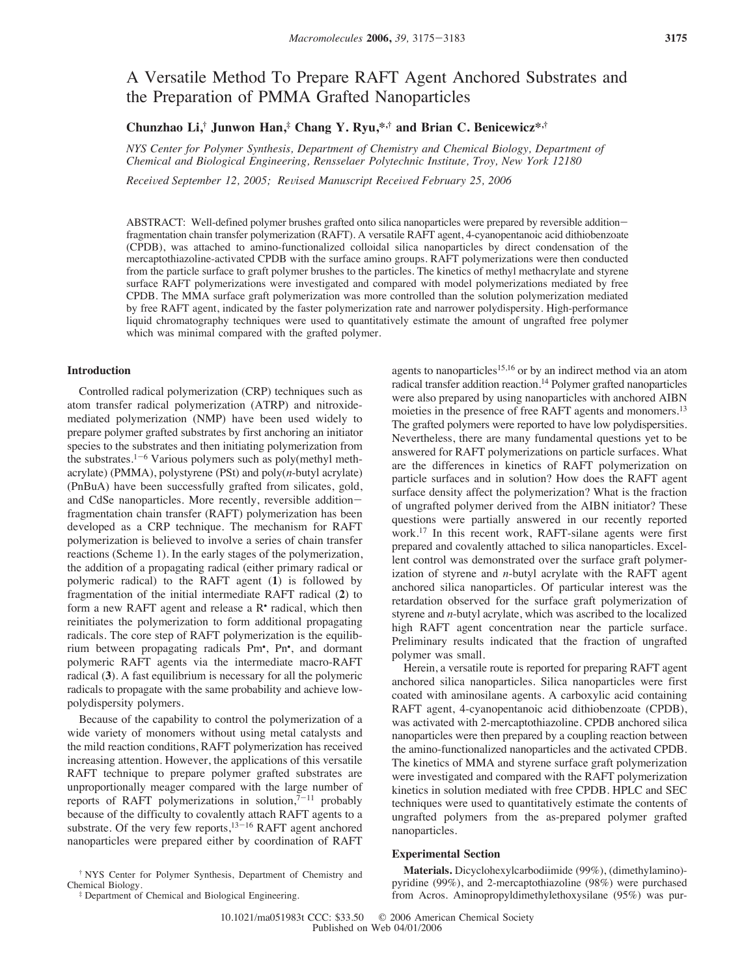# A Versatile Method To Prepare RAFT Agent Anchored Substrates and the Preparation of PMMA Grafted Nanoparticles

**Chunzhao Li,† Junwon Han,‡ Chang Y. Ryu,\*,† and Brian C. Benicewicz\*,†**

*NYS Center for Polymer Synthesis, Department of Chemistry and Chemical Biology, Department of Chemical and Biological Engineering, Rensselaer Polytechnic Institute, Troy, New York 12180*

*Received September 12, 2005; Revised Manuscript Received February 25, 2006* 

ABSTRACT: Well-defined polymer brushes grafted onto silica nanoparticles were prepared by reversible additionfragmentation chain transfer polymerization (RAFT). A versatile RAFT agent, 4-cyanopentanoic acid dithiobenzoate (CPDB), was attached to amino-functionalized colloidal silica nanoparticles by direct condensation of the mercaptothiazoline-activated CPDB with the surface amino groups. RAFT polymerizations were then conducted from the particle surface to graft polymer brushes to the particles. The kinetics of methyl methacrylate and styrene surface RAFT polymerizations were investigated and compared with model polymerizations mediated by free CPDB. The MMA surface graft polymerization was more controlled than the solution polymerization mediated by free RAFT agent, indicated by the faster polymerization rate and narrower polydispersity. High-performance liquid chromatography techniques were used to quantitatively estimate the amount of ungrafted free polymer which was minimal compared with the grafted polymer.

#### **Introduction**

Controlled radical polymerization (CRP) techniques such as atom transfer radical polymerization (ATRP) and nitroxidemediated polymerization (NMP) have been used widely to prepare polymer grafted substrates by first anchoring an initiator species to the substrates and then initiating polymerization from the substrates.<sup>1-6</sup> Various polymers such as poly(methyl methacrylate) (PMMA), polystyrene (PSt) and poly(*n*-butyl acrylate) (PnBuA) have been successfully grafted from silicates, gold, and CdSe nanoparticles. More recently, reversible additionfragmentation chain transfer (RAFT) polymerization has been developed as a CRP technique. The mechanism for RAFT polymerization is believed to involve a series of chain transfer reactions (Scheme 1). In the early stages of the polymerization, the addition of a propagating radical (either primary radical or polymeric radical) to the RAFT agent (**1**) is followed by fragmentation of the initial intermediate RAFT radical (**2**) to form a new RAFT agent and release a R• radical, which then reinitiates the polymerization to form additional propagating radicals. The core step of RAFT polymerization is the equilibrium between propagating radicals Pm• , Pn• , and dormant polymeric RAFT agents via the intermediate macro-RAFT radical (**3**). A fast equilibrium is necessary for all the polymeric radicals to propagate with the same probability and achieve lowpolydispersity polymers.

Because of the capability to control the polymerization of a wide variety of monomers without using metal catalysts and the mild reaction conditions, RAFT polymerization has received increasing attention. However, the applications of this versatile RAFT technique to prepare polymer grafted substrates are unproportionally meager compared with the large number of reports of RAFT polymerizations in solution, $7-11$  probably because of the difficulty to covalently attach RAFT agents to a substrate. Of the very few reports, $13-16$  RAFT agent anchored nanoparticles were prepared either by coordination of RAFT

agents to nanoparticles<sup>15,16</sup> or by an indirect method via an atom radical transfer addition reaction.<sup>14</sup> Polymer grafted nanoparticles were also prepared by using nanoparticles with anchored AIBN moieties in the presence of free RAFT agents and monomers.<sup>13</sup> The grafted polymers were reported to have low polydispersities. Nevertheless, there are many fundamental questions yet to be answered for RAFT polymerizations on particle surfaces. What are the differences in kinetics of RAFT polymerization on particle surfaces and in solution? How does the RAFT agent surface density affect the polymerization? What is the fraction of ungrafted polymer derived from the AIBN initiator? These questions were partially answered in our recently reported work.17 In this recent work, RAFT-silane agents were first prepared and covalently attached to silica nanoparticles. Excellent control was demonstrated over the surface graft polymerization of styrene and *n*-butyl acrylate with the RAFT agent anchored silica nanoparticles. Of particular interest was the retardation observed for the surface graft polymerization of styrene and *n*-butyl acrylate, which was ascribed to the localized high RAFT agent concentration near the particle surface. Preliminary results indicated that the fraction of ungrafted polymer was small.

Herein, a versatile route is reported for preparing RAFT agent anchored silica nanoparticles. Silica nanoparticles were first coated with aminosilane agents. A carboxylic acid containing RAFT agent, 4-cyanopentanoic acid dithiobenzoate (CPDB), was activated with 2-mercaptothiazoline. CPDB anchored silica nanoparticles were then prepared by a coupling reaction between the amino-functionalized nanoparticles and the activated CPDB. The kinetics of MMA and styrene surface graft polymerization were investigated and compared with the RAFT polymerization kinetics in solution mediated with free CPDB. HPLC and SEC techniques were used to quantitatively estimate the contents of ungrafted polymers from the as-prepared polymer grafted nanoparticles.

# **Experimental Section**

**Materials.** Dicyclohexylcarbodiimide (99%), (dimethylamino) pyridine (99%), and 2-mercaptothiazoline (98%) were purchased from Acros. Aminopropyldimethylethoxysilane (95%) was pur-

<sup>†</sup> NYS Center for Polymer Synthesis, Department of Chemistry and Chemical Biology. ‡ Department of Chemical and Biological Engineering.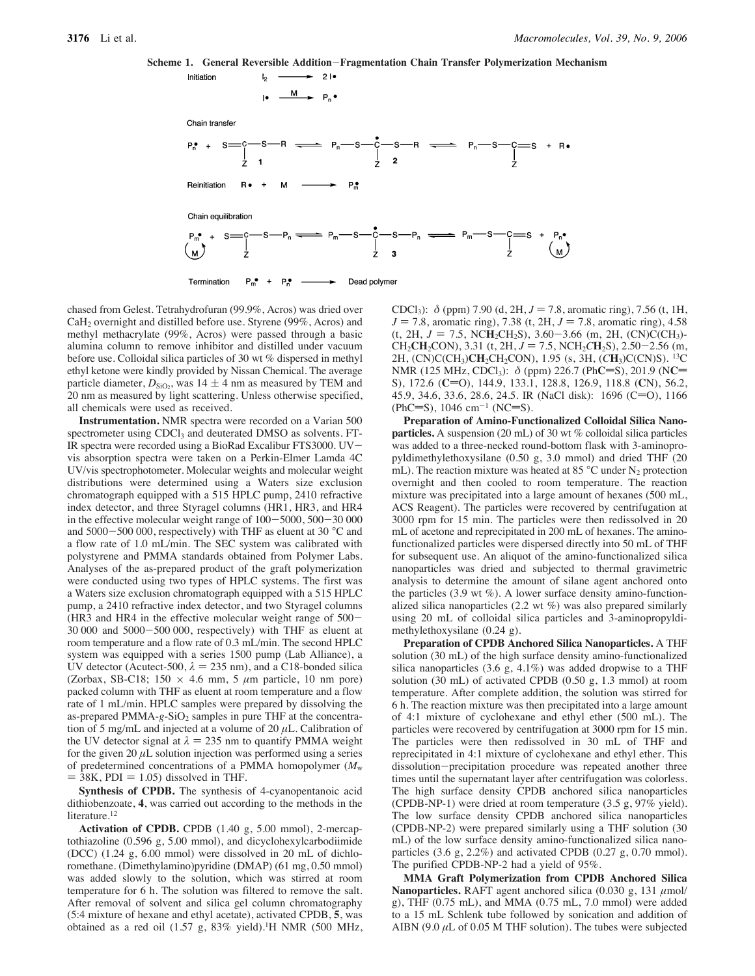





chased from Gelest. Tetrahydrofuran (99.9%, Acros) was dried over CaH<sub>2</sub> overnight and distilled before use. Styrene (99%, Acros) and methyl methacrylate (99%, Acros) were passed through a basic alumina column to remove inhibitor and distilled under vacuum before use. Colloidal silica particles of 30 wt % dispersed in methyl ethyl ketone were kindly provided by Nissan Chemical. The average particle diameter,  $D_{SiO_2}$ , was 14  $\pm$  4 nm as measured by TEM and 20 nm as measured by light scattering. Unless otherwise specified, all chemicals were used as received.

**Instrumentation.** NMR spectra were recorded on a Varian 500 spectrometer using CDCl<sub>3</sub> and deuterated DMSO as solvents. FT-IR spectra were recorded using a BioRad Excalibur FTS3000. UVvis absorption spectra were taken on a Perkin-Elmer Lamda 4C UV/vis spectrophotometer. Molecular weights and molecular weight distributions were determined using a Waters size exclusion chromatograph equipped with a 515 HPLC pump, 2410 refractive index detector, and three Styragel columns (HR1, HR3, and HR4 in the effective molecular weight range of 100-5000, 500-30 000 and 5000-500 000, respectively) with THF as eluent at 30 °C and a flow rate of 1.0 mL/min. The SEC system was calibrated with polystyrene and PMMA standards obtained from Polymer Labs. Analyses of the as-prepared product of the graft polymerization were conducted using two types of HPLC systems. The first was a Waters size exclusion chromatograph equipped with a 515 HPLC pump, a 2410 refractive index detector, and two Styragel columns (HR3 and HR4 in the effective molecular weight range of 500- 30 000 and 5000-500 000, respectively) with THF as eluent at room temperature and a flow rate of 0.3 mL/min. The second HPLC system was equipped with a series 1500 pump (Lab Alliance), a UV detector (Acutect-500,  $\lambda = 235$  nm), and a C18-bonded silica (Zorbax, SB-C18; 150  $\times$  4.6 mm, 5  $\mu$ m particle, 10 nm pore) packed column with THF as eluent at room temperature and a flow rate of 1 mL/min. HPLC samples were prepared by dissolving the as-prepared PMMA-g-SiO<sub>2</sub> samples in pure THF at the concentration of 5 mg/mL and injected at a volume of 20 µL*.* Calibration of the UV detector signal at  $\lambda = 235$  nm to quantify PMMA weight for the given 20  $\mu$ L solution injection was performed using a series of predetermined concentrations of a PMMA homopolymer (*M*<sup>w</sup>  $=$  38K, PDI  $=$  1.05) dissolved in THF.

**Synthesis of CPDB.** The synthesis of 4-cyanopentanoic acid dithiobenzoate, **4**, was carried out according to the methods in the literature.<sup>12</sup>

**Activation of CPDB.** CPDB (1.40 g, 5.00 mmol), 2-mercaptothiazoline (0.596 g, 5.00 mmol), and dicyclohexylcarbodiimide (DCC) (1.24 g, 6.00 mmol) were dissolved in 20 mL of dichloromethane. (Dimethylamino)pyridine (DMAP) (61 mg, 0.50 mmol) was added slowly to the solution, which was stirred at room temperature for 6 h. The solution was filtered to remove the salt. After removal of solvent and silica gel column chromatography (5:4 mixture of hexane and ethyl acetate), activated CPDB, **5**, was obtained as a red oil (1.57 g,  $83\%$  yield).<sup>1</sup>H NMR (500 MHz,

CDCl<sub>3</sub>):  $\delta$  (ppm) 7.90 (d, 2H,  $J = 7.8$ , aromatic ring), 7.56 (t, 1H,  $J = 7.8$ , aromatic ring), 7.38 (t, 2H,  $J = 7.8$ , aromatic ring), 4.58 (t, 2H,  $J = 7.5$ , NCH<sub>2</sub>CH<sub>2</sub>S), 3.60–3.66 (m, 2H, (CN)C(CH<sub>3</sub>)- $CH_2CH_2CON$ ), 3.31 (t, 2H,  $J = 7.5$ , NCH<sub>2</sub>CH<sub>2</sub>S), 2.50-2.56 (m, 2H, (CN)C(CH3)**CH**2CH2CON), 1.95 (s, 3H, (*C***H**3)C(CN)S). 13C NMR (125 MHz, CDCl<sub>3</sub>):  $\delta$  (ppm) 226.7 (PhC=S), 201.9 (NC= S), 172.6 (**C**=O), 144.9, 133.1, 128.8, 126.9, 118.8 (**C**N), 56.2, 45.9, 34.6, 33.6, 28.6, 24.5. IR (NaCl disk):  $1696$  (C=O),  $1166$ (PhC=S), 1046 cm<sup>-1</sup> (NC=S).

**Preparation of Amino-Functionalized Colloidal Silica Nanoparticles.** A suspension (20 mL) of 30 wt % colloidal silica particles was added to a three-necked round-bottom flask with 3-aminopropyldimethylethoxysilane (0.50 g, 3.0 mmol) and dried THF (20 mL). The reaction mixture was heated at 85  $^{\circ}$ C under N<sub>2</sub> protection overnight and then cooled to room temperature. The reaction mixture was precipitated into a large amount of hexanes (500 mL, ACS Reagent). The particles were recovered by centrifugation at 3000 rpm for 15 min. The particles were then redissolved in 20 mL of acetone and reprecipitated in 200 mL of hexanes. The aminofunctionalized particles were dispersed directly into 50 mL of THF for subsequent use. An aliquot of the amino-functionalized silica nanoparticles was dried and subjected to thermal gravimetric analysis to determine the amount of silane agent anchored onto the particles  $(3.9 \text{ wt } \%)$ . A lower surface density amino-functionalized silica nanoparticles (2.2 wt %) was also prepared similarly using 20 mL of colloidal silica particles and 3-aminopropyldimethylethoxysilane (0.24 g).

**Preparation of CPDB Anchored Silica Nanoparticles.** A THF solution (30 mL) of the high surface density amino-functionalized silica nanoparticles  $(3.6 \text{ g}, 4.1\%)$  was added dropwise to a THF solution (30 mL) of activated CPDB (0.50 g, 1.3 mmol) at room temperature. After complete addition, the solution was stirred for 6 h. The reaction mixture was then precipitated into a large amount of 4:1 mixture of cyclohexane and ethyl ether (500 mL). The particles were recovered by centrifugation at 3000 rpm for 15 min. The particles were then redissolved in 30 mL of THF and reprecipitated in 4:1 mixture of cyclohexane and ethyl ether. This dissolution-precipitation procedure was repeated another three times until the supernatant layer after centrifugation was colorless. The high surface density CPDB anchored silica nanoparticles (CPDB-NP-1) were dried at room temperature (3.5 g, 97% yield). The low surface density CPDB anchored silica nanoparticles (CPDB-NP-2) were prepared similarly using a THF solution (30 mL) of the low surface density amino-functionalized silica nanoparticles  $(3.6 \text{ g}, 2.2\%)$  and activated CPDB  $(0.27 \text{ g}, 0.70 \text{ mmol})$ . The purified CPDB-NP-2 had a yield of 95%.

**MMA Graft Polymerization from CPDB Anchored Silica Nanoparticles.** RAFT agent anchored silica  $(0.030 \text{ g}, 131 \mu \text{mol})$ g), THF (0.75 mL), and MMA (0.75 mL, 7.0 mmol) were added to a 15 mL Schlenk tube followed by sonication and addition of AIBN (9.0  $\mu$ L of 0.05 M THF solution). The tubes were subjected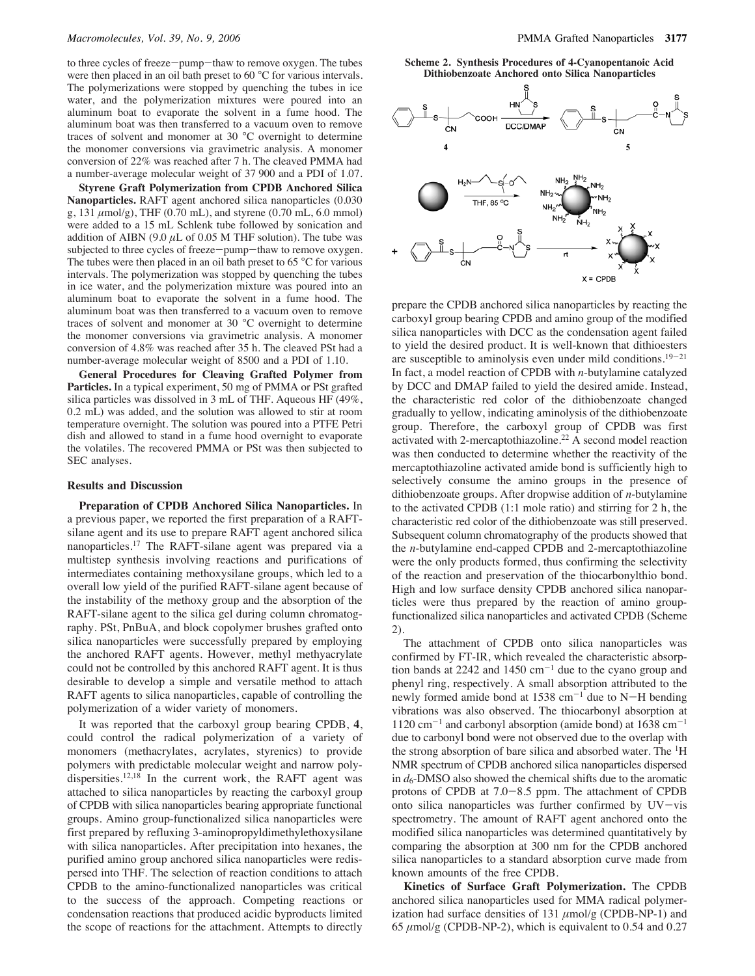to three cycles of freeze-pump-thaw to remove oxygen. The tubes were then placed in an oil bath preset to 60 °C for various intervals. The polymerizations were stopped by quenching the tubes in ice water, and the polymerization mixtures were poured into an aluminum boat to evaporate the solvent in a fume hood. The aluminum boat was then transferred to a vacuum oven to remove traces of solvent and monomer at 30 °C overnight to determine the monomer conversions via gravimetric analysis. A monomer conversion of 22% was reached after 7 h. The cleaved PMMA had a number-average molecular weight of 37 900 and a PDI of 1.07.

**Styrene Graft Polymerization from CPDB Anchored Silica Nanoparticles.** RAFT agent anchored silica nanoparticles (0.030 g,  $131 \mu \text{mol/g}$ , THF (0.70 mL), and styrene (0.70 mL, 6.0 mmol) were added to a 15 mL Schlenk tube followed by sonication and addition of AIBN (9.0  $\mu$ L of 0.05 M THF solution). The tube was subjected to three cycles of freeze-pump-thaw to remove oxygen. The tubes were then placed in an oil bath preset to 65 $\degree$ C for various intervals. The polymerization was stopped by quenching the tubes in ice water, and the polymerization mixture was poured into an aluminum boat to evaporate the solvent in a fume hood. The aluminum boat was then transferred to a vacuum oven to remove traces of solvent and monomer at 30 °C overnight to determine the monomer conversions via gravimetric analysis. A monomer conversion of 4.8% was reached after 35 h. The cleaved PSt had a number-average molecular weight of 8500 and a PDI of 1.10.

**General Procedures for Cleaving Grafted Polymer from Particles.** In a typical experiment, 50 mg of PMMA or PSt grafted silica particles was dissolved in 3 mL of THF. Aqueous HF (49%, 0.2 mL) was added, and the solution was allowed to stir at room temperature overnight. The solution was poured into a PTFE Petri dish and allowed to stand in a fume hood overnight to evaporate the volatiles. The recovered PMMA or PSt was then subjected to SEC analyses.

### **Results and Discussion**

**Preparation of CPDB Anchored Silica Nanoparticles.** In a previous paper, we reported the first preparation of a RAFTsilane agent and its use to prepare RAFT agent anchored silica nanoparticles.17 The RAFT-silane agent was prepared via a multistep synthesis involving reactions and purifications of intermediates containing methoxysilane groups, which led to a overall low yield of the purified RAFT-silane agent because of the instability of the methoxy group and the absorption of the RAFT-silane agent to the silica gel during column chromatography. PSt, PnBuA, and block copolymer brushes grafted onto silica nanoparticles were successfully prepared by employing the anchored RAFT agents. However, methyl methyacrylate could not be controlled by this anchored RAFT agent. It is thus desirable to develop a simple and versatile method to attach RAFT agents to silica nanoparticles, capable of controlling the polymerization of a wider variety of monomers.

It was reported that the carboxyl group bearing CPDB, **4**, could control the radical polymerization of a variety of monomers (methacrylates, acrylates, styrenics) to provide polymers with predictable molecular weight and narrow polydispersities.<sup>12,18</sup> In the current work, the RAFT agent was attached to silica nanoparticles by reacting the carboxyl group of CPDB with silica nanoparticles bearing appropriate functional groups. Amino group-functionalized silica nanoparticles were first prepared by refluxing 3-aminopropyldimethylethoxysilane with silica nanoparticles. After precipitation into hexanes, the purified amino group anchored silica nanoparticles were redispersed into THF. The selection of reaction conditions to attach CPDB to the amino-functionalized nanoparticles was critical to the success of the approach. Competing reactions or condensation reactions that produced acidic byproducts limited the scope of reactions for the attachment. Attempts to directly

**Scheme 2. Synthesis Procedures of 4-Cyanopentanoic Acid Dithiobenzoate Anchored onto Silica Nanoparticles**



prepare the CPDB anchored silica nanoparticles by reacting the carboxyl group bearing CPDB and amino group of the modified silica nanoparticles with DCC as the condensation agent failed to yield the desired product. It is well-known that dithioesters are susceptible to aminolysis even under mild conditions.19-<sup>21</sup> In fact, a model reaction of CPDB with *n*-butylamine catalyzed by DCC and DMAP failed to yield the desired amide. Instead, the characteristic red color of the dithiobenzoate changed gradually to yellow, indicating aminolysis of the dithiobenzoate group. Therefore, the carboxyl group of CPDB was first activated with 2-mercaptothiazoline.<sup>22</sup>  $\overline{A}$  second model reaction was then conducted to determine whether the reactivity of the mercaptothiazoline activated amide bond is sufficiently high to selectively consume the amino groups in the presence of dithiobenzoate groups. After dropwise addition of *n*-butylamine to the activated CPDB (1:1 mole ratio) and stirring for 2 h, the characteristic red color of the dithiobenzoate was still preserved. Subsequent column chromatography of the products showed that the *n*-butylamine end-capped CPDB and 2-mercaptothiazoline were the only products formed, thus confirming the selectivity of the reaction and preservation of the thiocarbonylthio bond. High and low surface density CPDB anchored silica nanoparticles were thus prepared by the reaction of amino groupfunctionalized silica nanoparticles and activated CPDB (Scheme 2).

The attachment of CPDB onto silica nanoparticles was confirmed by FT-IR, which revealed the characteristic absorption bands at 2242 and 1450  $cm^{-1}$  due to the cyano group and phenyl ring, respectively. A small absorption attributed to the newly formed amide bond at  $1538 \text{ cm}^{-1}$  due to N-H bending vibrations was also observed. The thiocarbonyl absorption at  $1120 \text{ cm}^{-1}$  and carbonyl absorption (amide bond) at 1638 cm<sup>-1</sup> due to carbonyl bond were not observed due to the overlap with the strong absorption of bare silica and absorbed water. The <sup>1</sup>H NMR spectrum of CPDB anchored silica nanoparticles dispersed in  $d_6$ -DMSO also showed the chemical shifts due to the aromatic protons of CPDB at 7.0-8.5 ppm. The attachment of CPDB onto silica nanoparticles was further confirmed by  $UV - vis$ spectrometry. The amount of RAFT agent anchored onto the modified silica nanoparticles was determined quantitatively by comparing the absorption at 300 nm for the CPDB anchored silica nanoparticles to a standard absorption curve made from known amounts of the free CPDB.

**Kinetics of Surface Graft Polymerization.** The CPDB anchored silica nanoparticles used for MMA radical polymerization had surface densities of  $131 \mu \text{mol/g}$  (CPDB-NP-1) and 65  $\mu$ mol/g (CPDB-NP-2), which is equivalent to 0.54 and 0.27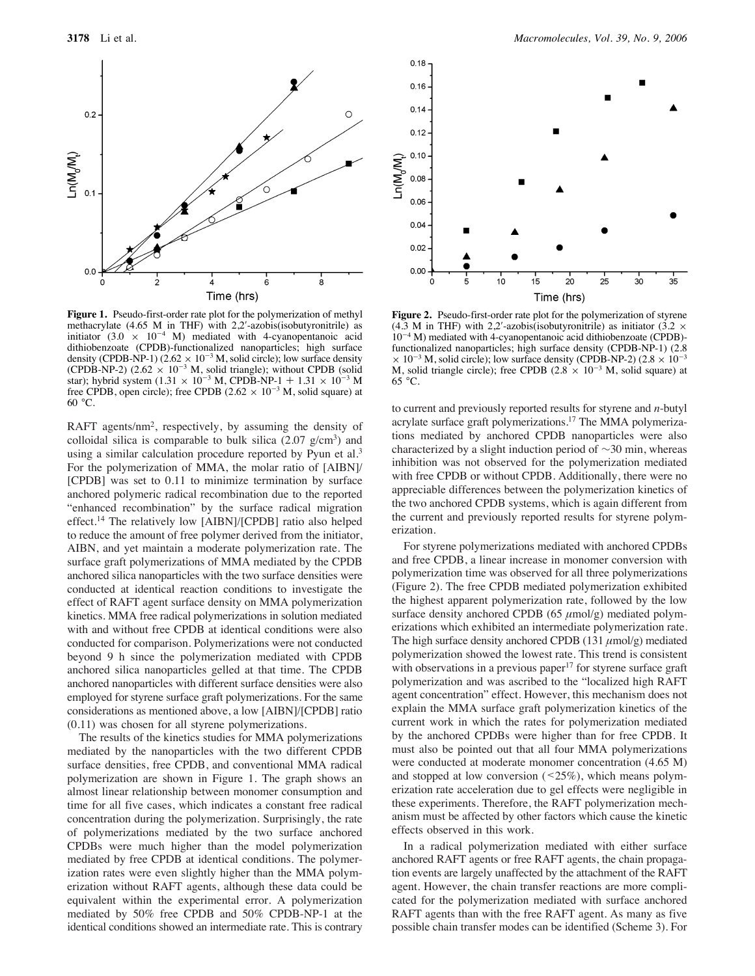

**Figure 1.** Pseudo-first-order rate plot for the polymerization of methyl methacrylate (4.65 M in THF) with  $2.2'$ -azobis(isobutyronitrile) as initiator  $(3.0 \times 10^{-4} \text{ M})$  mediated with 4-cyanopentanoic acid dithiobenzoate (CPDB)-functionalized nanoparticles; high surface density (CPDB-NP-1) (2.62  $\times$  10<sup>-3</sup> M, solid circle); low surface density (CPDB-NP-2)  $(2.62 \times 10^{-3} \text{ M}, \text{ solid triangle})$ ; without CPDB (solid star); hybrid system  $(1.31 \times 10^{-3} \text{ M}, \text{CPDB-NP-1} + 1.31 \times 10^{-3} \text{ M}$ free CPDB, open circle); free CPDB  $(2.62 \times 10^{-3} \text{ M}, \text{ solid square})$  at 60 °C.

RAFT agents/nm2, respectively, by assuming the density of colloidal silica is comparable to bulk silica  $(2.07 \text{ g/cm}^3)$  and using a similar calculation procedure reported by Pyun et al.<sup>3</sup> For the polymerization of MMA, the molar ratio of [AIBN]/ [CPDB] was set to 0.11 to minimize termination by surface anchored polymeric radical recombination due to the reported "enhanced recombination" by the surface radical migration effect.14 The relatively low [AIBN]/[CPDB] ratio also helped to reduce the amount of free polymer derived from the initiator, AIBN, and yet maintain a moderate polymerization rate. The surface graft polymerizations of MMA mediated by the CPDB anchored silica nanoparticles with the two surface densities were conducted at identical reaction conditions to investigate the effect of RAFT agent surface density on MMA polymerization kinetics. MMA free radical polymerizations in solution mediated with and without free CPDB at identical conditions were also conducted for comparison. Polymerizations were not conducted beyond 9 h since the polymerization mediated with CPDB anchored silica nanoparticles gelled at that time. The CPDB anchored nanoparticles with different surface densities were also employed for styrene surface graft polymerizations. For the same considerations as mentioned above, a low [AIBN]/[CPDB] ratio (0.11) was chosen for all styrene polymerizations.

The results of the kinetics studies for MMA polymerizations mediated by the nanoparticles with the two different CPDB surface densities, free CPDB, and conventional MMA radical polymerization are shown in Figure 1. The graph shows an almost linear relationship between monomer consumption and time for all five cases, which indicates a constant free radical concentration during the polymerization. Surprisingly, the rate of polymerizations mediated by the two surface anchored CPDBs were much higher than the model polymerization mediated by free CPDB at identical conditions. The polymerization rates were even slightly higher than the MMA polymerization without RAFT agents, although these data could be equivalent within the experimental error. A polymerization mediated by 50% free CPDB and 50% CPDB-NP-1 at the identical conditions showed an intermediate rate. This is contrary



**Figure 2.** Pseudo-first-order rate plot for the polymerization of styrene (4.3 M in THF) with 2,2'-azobis(isobutyronitrile) as initiator (3.2  $\times$ 10-<sup>4</sup> M) mediated with 4-cyanopentanoic acid dithiobenzoate (CPDB) functionalized nanoparticles; high surface density (CPDB-NP-1) (2.8  $\times$  10<sup>-3</sup> M, solid circle); low surface density (CPDB-NP-2) (2.8  $\times$  10<sup>-3</sup> M, solid triangle circle); free CPDB  $(2.8 \times 10^{-3} \text{ M})$ , solid square) at 65 °C.

to current and previously reported results for styrene and *n*-butyl acrylate surface graft polymerizations.17 The MMA polymerizations mediated by anchored CPDB nanoparticles were also characterized by a slight induction period of ∼30 min, whereas inhibition was not observed for the polymerization mediated with free CPDB or without CPDB. Additionally, there were no appreciable differences between the polymerization kinetics of the two anchored CPDB systems, which is again different from the current and previously reported results for styrene polymerization.

For styrene polymerizations mediated with anchored CPDBs and free CPDB, a linear increase in monomer conversion with polymerization time was observed for all three polymerizations (Figure 2). The free CPDB mediated polymerization exhibited the highest apparent polymerization rate, followed by the low surface density anchored CPDB (65  $\mu$ mol/g) mediated polymerizations which exhibited an intermediate polymerization rate. The high surface density anchored CPDB (131  $\mu$ mol/g) mediated polymerization showed the lowest rate. This trend is consistent with observations in a previous paper<sup>17</sup> for styrene surface graft polymerization and was ascribed to the "localized high RAFT agent concentration" effect. However, this mechanism does not explain the MMA surface graft polymerization kinetics of the current work in which the rates for polymerization mediated by the anchored CPDBs were higher than for free CPDB. It must also be pointed out that all four MMA polymerizations were conducted at moderate monomer concentration (4.65 M) and stopped at low conversion  $($  <  $25\%)$ , which means polymerization rate acceleration due to gel effects were negligible in these experiments. Therefore, the RAFT polymerization mechanism must be affected by other factors which cause the kinetic effects observed in this work.

In a radical polymerization mediated with either surface anchored RAFT agents or free RAFT agents, the chain propagation events are largely unaffected by the attachment of the RAFT agent. However, the chain transfer reactions are more complicated for the polymerization mediated with surface anchored RAFT agents than with the free RAFT agent. As many as five possible chain transfer modes can be identified (Scheme 3). For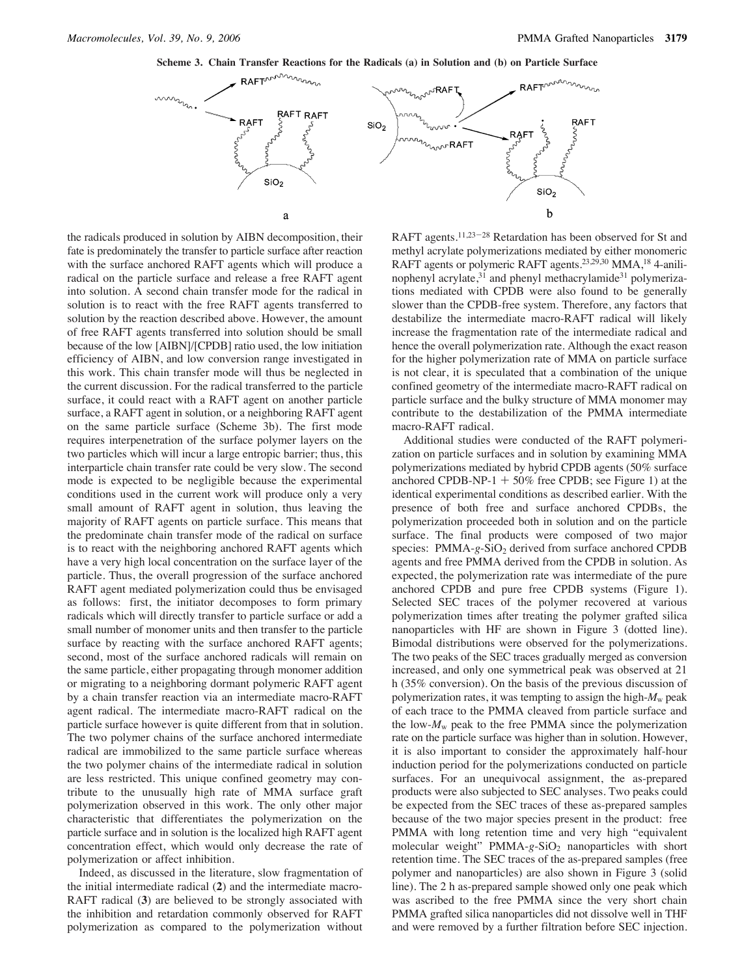



the radicals produced in solution by AIBN decomposition, their fate is predominately the transfer to particle surface after reaction with the surface anchored RAFT agents which will produce a radical on the particle surface and release a free RAFT agent into solution. A second chain transfer mode for the radical in solution is to react with the free RAFT agents transferred to solution by the reaction described above. However, the amount of free RAFT agents transferred into solution should be small because of the low [AIBN]/[CPDB] ratio used, the low initiation efficiency of AIBN, and low conversion range investigated in this work. This chain transfer mode will thus be neglected in the current discussion. For the radical transferred to the particle surface, it could react with a RAFT agent on another particle surface, a RAFT agent in solution, or a neighboring RAFT agent on the same particle surface (Scheme 3b). The first mode requires interpenetration of the surface polymer layers on the two particles which will incur a large entropic barrier; thus, this interparticle chain transfer rate could be very slow. The second mode is expected to be negligible because the experimental conditions used in the current work will produce only a very small amount of RAFT agent in solution, thus leaving the majority of RAFT agents on particle surface. This means that the predominate chain transfer mode of the radical on surface is to react with the neighboring anchored RAFT agents which have a very high local concentration on the surface layer of the particle. Thus, the overall progression of the surface anchored RAFT agent mediated polymerization could thus be envisaged as follows: first, the initiator decomposes to form primary radicals which will directly transfer to particle surface or add a small number of monomer units and then transfer to the particle surface by reacting with the surface anchored RAFT agents; second, most of the surface anchored radicals will remain on the same particle, either propagating through monomer addition or migrating to a neighboring dormant polymeric RAFT agent by a chain transfer reaction via an intermediate macro-RAFT agent radical. The intermediate macro-RAFT radical on the particle surface however is quite different from that in solution. The two polymer chains of the surface anchored intermediate radical are immobilized to the same particle surface whereas the two polymer chains of the intermediate radical in solution are less restricted. This unique confined geometry may contribute to the unusually high rate of MMA surface graft polymerization observed in this work. The only other major characteristic that differentiates the polymerization on the particle surface and in solution is the localized high RAFT agent concentration effect, which would only decrease the rate of polymerization or affect inhibition.

Indeed, as discussed in the literature, slow fragmentation of the initial intermediate radical (**2**) and the intermediate macro-RAFT radical (**3**) are believed to be strongly associated with the inhibition and retardation commonly observed for RAFT polymerization as compared to the polymerization without RAFT agents.<sup>11,23-28</sup> Retardation has been observed for St and methyl acrylate polymerizations mediated by either monomeric RAFT agents or polymeric RAFT agents.23,29,30 MMA,18 4-anilinophenyl acrylate,<sup>31</sup> and phenyl methacrylamide<sup>31</sup> polymerizations mediated with CPDB were also found to be generally slower than the CPDB-free system. Therefore, any factors that destabilize the intermediate macro-RAFT radical will likely increase the fragmentation rate of the intermediate radical and hence the overall polymerization rate. Although the exact reason for the higher polymerization rate of MMA on particle surface is not clear, it is speculated that a combination of the unique confined geometry of the intermediate macro-RAFT radical on particle surface and the bulky structure of MMA monomer may contribute to the destabilization of the PMMA intermediate macro-RAFT radical.

Additional studies were conducted of the RAFT polymerization on particle surfaces and in solution by examining MMA polymerizations mediated by hybrid CPDB agents (50% surface anchored CPDB-NP-1  $+$  50% free CPDB; see Figure 1) at the identical experimental conditions as described earlier. With the presence of both free and surface anchored CPDBs, the polymerization proceeded both in solution and on the particle surface. The final products were composed of two major species: PMMA-g-SiO<sub>2</sub> derived from surface anchored CPDB agents and free PMMA derived from the CPDB in solution. As expected, the polymerization rate was intermediate of the pure anchored CPDB and pure free CPDB systems (Figure 1). Selected SEC traces of the polymer recovered at various polymerization times after treating the polymer grafted silica nanoparticles with HF are shown in Figure 3 (dotted line). Bimodal distributions were observed for the polymerizations. The two peaks of the SEC traces gradually merged as conversion increased, and only one symmetrical peak was observed at 21 h (35% conversion). On the basis of the previous discussion of polymerization rates, it was tempting to assign the high-*M*<sup>w</sup> peak of each trace to the PMMA cleaved from particle surface and the low- $M_w$  peak to the free PMMA since the polymerization rate on the particle surface was higher than in solution. However, it is also important to consider the approximately half-hour induction period for the polymerizations conducted on particle surfaces. For an unequivocal assignment, the as-prepared products were also subjected to SEC analyses. Two peaks could be expected from the SEC traces of these as-prepared samples because of the two major species present in the product: free PMMA with long retention time and very high "equivalent molecular weight" PMMA-g-SiO<sub>2</sub> nanoparticles with short retention time. The SEC traces of the as-prepared samples (free polymer and nanoparticles) are also shown in Figure 3 (solid line). The 2 h as-prepared sample showed only one peak which was ascribed to the free PMMA since the very short chain PMMA grafted silica nanoparticles did not dissolve well in THF and were removed by a further filtration before SEC injection.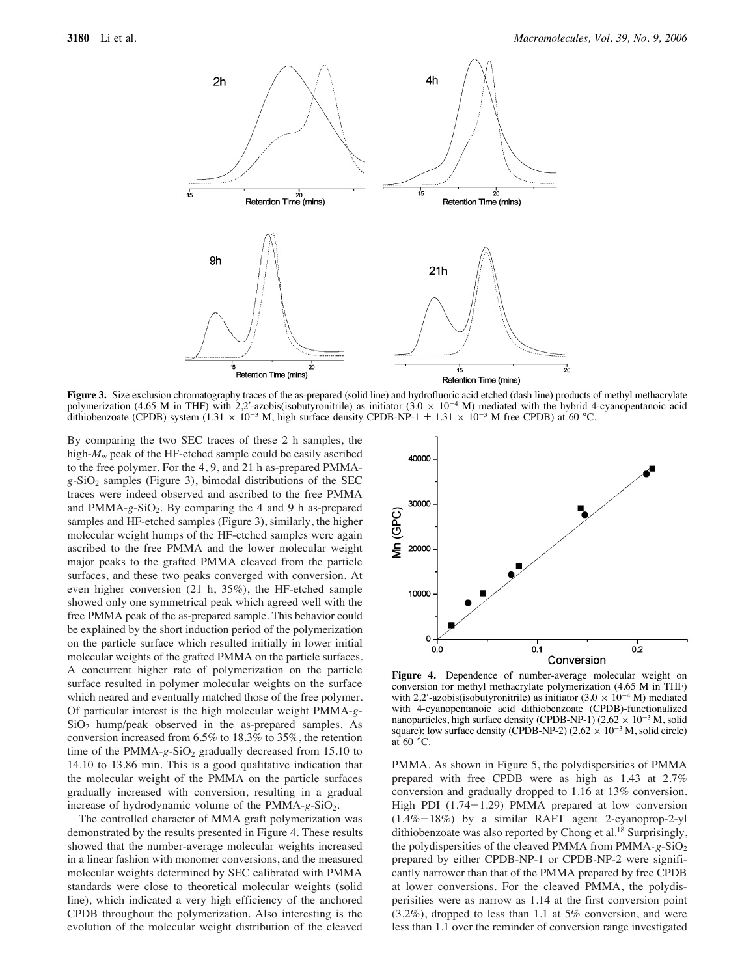

**Figure 3.** Size exclusion chromatography traces of the as-prepared (solid line) and hydrofluoric acid etched (dash line) products of methyl methacrylate polymerization (4.65 M in THF) with 2,2'-azobis(isobutyronitrile) as initiator (3.0  $\times$  10<sup>-4</sup> M) mediated with the hybrid 4-cyanopentanoic acid dithiobenzoate (CPDB) system (1.31  $\times$  10<sup>-3</sup> M, high surface density CPDB-NP-1 + 1.31  $\times$  10<sup>-3</sup> M free CPDB) at 60 °C.

By comparing the two SEC traces of these 2 h samples, the high- $M_w$  peak of the HF-etched sample could be easily ascribed to the free polymer. For the 4, 9, and 21 h as-prepared PMMA $g$ -SiO<sub>2</sub> samples (Figure 3), bimodal distributions of the SEC traces were indeed observed and ascribed to the free PMMA and PMMA-g-SiO<sub>2</sub>. By comparing the 4 and 9 h as-prepared samples and HF-etched samples (Figure 3), similarly, the higher molecular weight humps of the HF-etched samples were again ascribed to the free PMMA and the lower molecular weight major peaks to the grafted PMMA cleaved from the particle surfaces, and these two peaks converged with conversion. At even higher conversion (21 h, 35%), the HF-etched sample showed only one symmetrical peak which agreed well with the free PMMA peak of the as-prepared sample. This behavior could be explained by the short induction period of the polymerization on the particle surface which resulted initially in lower initial molecular weights of the grafted PMMA on the particle surfaces. A concurrent higher rate of polymerization on the particle surface resulted in polymer molecular weights on the surface which neared and eventually matched those of the free polymer. Of particular interest is the high molecular weight PMMA-*g*- $SiO<sub>2</sub>$  hump/peak observed in the as-prepared samples. As conversion increased from 6.5% to 18.3% to 35%, the retention time of the PMMA- $g$ -SiO<sub>2</sub> gradually decreased from 15.10 to 14.10 to 13.86 min. This is a good qualitative indication that the molecular weight of the PMMA on the particle surfaces gradually increased with conversion, resulting in a gradual increase of hydrodynamic volume of the PMMA-g-SiO<sub>2</sub>.

The controlled character of MMA graft polymerization was demonstrated by the results presented in Figure 4. These results showed that the number-average molecular weights increased in a linear fashion with monomer conversions, and the measured molecular weights determined by SEC calibrated with PMMA standards were close to theoretical molecular weights (solid line), which indicated a very high efficiency of the anchored CPDB throughout the polymerization. Also interesting is the evolution of the molecular weight distribution of the cleaved



**Figure 4.** Dependence of number-average molecular weight on conversion for methyl methacrylate polymerization (4.65 M in THF) with 2,2'-azobis(isobutyronitrile) as initiator (3.0  $\times$  10<sup>-4</sup> M) mediated with 4-cyanopentanoic acid dithiobenzoate (CPDB)-functionalized nanoparticles, high surface density (CPDB-NP-1) (2.62  $\times$  10<sup>-3</sup> M, solid square); low surface density (CPDB-NP-2) ( $2.62 \times 10^{-3}$  M, solid circle) at  $60 °C$ .

PMMA. As shown in Figure 5, the polydispersities of PMMA prepared with free CPDB were as high as 1.43 at 2.7% conversion and gradually dropped to 1.16 at 13% conversion. High PDI (1.74-1.29) PMMA prepared at low conversion (1.4%-18%) by a similar RAFT agent 2-cyanoprop-2-yl dithiobenzoate was also reported by Chong et al.<sup>18</sup> Surprisingly, the polydispersities of the cleaved PMMA from PMMA-*g*-SiO2 prepared by either CPDB-NP-1 or CPDB-NP-2 were significantly narrower than that of the PMMA prepared by free CPDB at lower conversions. For the cleaved PMMA, the polydisperisities were as narrow as 1.14 at the first conversion point (3.2%), dropped to less than 1.1 at 5% conversion, and were less than 1.1 over the reminder of conversion range investigated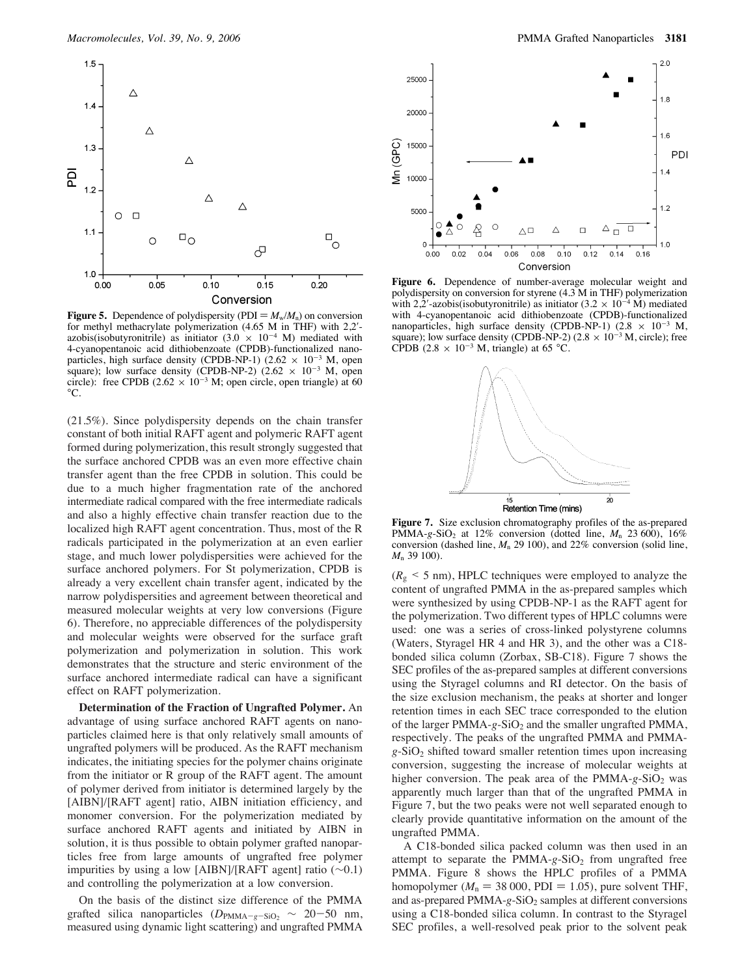

**Figure 5.** Dependence of polydispersity (PDI =  $M_w/M_n$ ) on conversion for methyl methacrylate polymerization (4.65 M in THF) with 2,2'azobis(isobutyronitrile) as initiator  $(3.0 \times 10^{-4} \text{ M})$  mediated with 4-cyanopentanoic acid dithiobenzoate (CPDB)-functionalized nanoparticles, high surface density (CPDB-NP-1) (2.62  $\times$  10<sup>-3</sup> M, open square); low surface density (CPDB-NP-2)  $(2.62 \times 10^{-3} \text{ M}, \text{ open})$ circle): free CPDB (2.62  $\times$  10<sup>-3</sup> M; open circle, open triangle) at 60  $^{\circ}$ C.

(21.5%). Since polydispersity depends on the chain transfer constant of both initial RAFT agent and polymeric RAFT agent formed during polymerization, this result strongly suggested that the surface anchored CPDB was an even more effective chain transfer agent than the free CPDB in solution. This could be due to a much higher fragmentation rate of the anchored intermediate radical compared with the free intermediate radicals and also a highly effective chain transfer reaction due to the localized high RAFT agent concentration. Thus, most of the R radicals participated in the polymerization at an even earlier stage, and much lower polydispersities were achieved for the surface anchored polymers. For St polymerization, CPDB is already a very excellent chain transfer agent, indicated by the narrow polydispersities and agreement between theoretical and measured molecular weights at very low conversions (Figure 6). Therefore, no appreciable differences of the polydispersity and molecular weights were observed for the surface graft polymerization and polymerization in solution. This work demonstrates that the structure and steric environment of the surface anchored intermediate radical can have a significant effect on RAFT polymerization.

**Determination of the Fraction of Ungrafted Polymer.** An advantage of using surface anchored RAFT agents on nanoparticles claimed here is that only relatively small amounts of ungrafted polymers will be produced. As the RAFT mechanism indicates, the initiating species for the polymer chains originate from the initiator or R group of the RAFT agent. The amount of polymer derived from initiator is determined largely by the [AIBN]/[RAFT agent] ratio, AIBN initiation efficiency, and monomer conversion. For the polymerization mediated by surface anchored RAFT agents and initiated by AIBN in solution, it is thus possible to obtain polymer grafted nanoparticles free from large amounts of ungrafted free polymer impurities by using a low [AIBN]/[RAFT agent] ratio (∼0.1) and controlling the polymerization at a low conversion.

On the basis of the distinct size difference of the PMMA grafted silica nanoparticles  $(D_{\text{PMMA}-g-SiO_2} \sim 20-50 \text{ nm},$ measured using dynamic light scattering) and ungrafted PMMA



**Figure 6.** Dependence of number-average molecular weight and polydispersity on conversion for styrene (4.3 M in THF) polymerization with 2,2'-azobis(isobutyronitrile) as initiator  $(3.2 \times 10^{-4} \text{ M})$  mediated with 4-cyanopentanoic acid dithiobenzoate (CPDB)-functionalized nanoparticles, high surface density (CPDB-NP-1) (2.8  $\times$  10<sup>-3</sup> M, square); low surface density (CPDB-NP-2) (2.8  $\times$  10<sup>-3</sup> M, circle); free CPDB (2.8  $\times$  10<sup>-3</sup> M, triangle) at 65 °C.



**Figure 7.** Size exclusion chromatography profiles of the as-prepared PMMA-*g*-SiO<sub>2</sub> at 12% conversion (dotted line, *M<sub>n</sub>* 23 600), 16% conversion (dashed line, *M*<sup>n</sup> 29 100), and 22% conversion (solid line, *M*<sup>n</sup> 39 100).

 $(R<sub>g</sub> < 5$  nm), HPLC techniques were employed to analyze the content of ungrafted PMMA in the as-prepared samples which were synthesized by using CPDB-NP-1 as the RAFT agent for the polymerization. Two different types of HPLC columns were used: one was a series of cross-linked polystyrene columns (Waters, Styragel HR 4 and HR 3), and the other was a C18 bonded silica column (Zorbax, SB-C18). Figure 7 shows the SEC profiles of the as-prepared samples at different conversions using the Styragel columns and RI detector. On the basis of the size exclusion mechanism, the peaks at shorter and longer retention times in each SEC trace corresponded to the elution of the larger PMMA-g-SiO<sub>2</sub> and the smaller ungrafted PMMA, respectively. The peaks of the ungrafted PMMA and PMMA $g-SiO<sub>2</sub>$  shifted toward smaller retention times upon increasing conversion, suggesting the increase of molecular weights at higher conversion. The peak area of the PMMA-g-SiO<sub>2</sub> was apparently much larger than that of the ungrafted PMMA in Figure 7, but the two peaks were not well separated enough to clearly provide quantitative information on the amount of the ungrafted PMMA.

A C18-bonded silica packed column was then used in an attempt to separate the PMMA-g-SiO<sub>2</sub> from ungrafted free PMMA. Figure 8 shows the HPLC profiles of a PMMA homopolymer ( $M_n = 38 000$ , PDI = 1.05), pure solvent THF, and as-prepared PMMA-g-SiO<sub>2</sub> samples at different conversions using a C18-bonded silica column. In contrast to the Styragel SEC profiles, a well-resolved peak prior to the solvent peak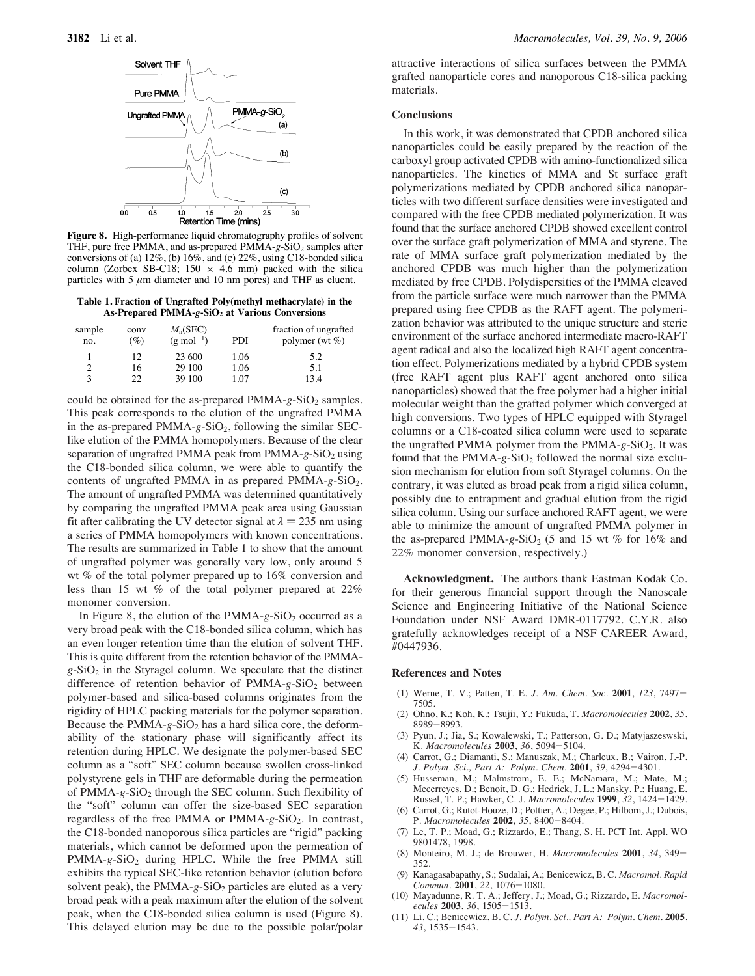

**Figure 8.** High-performance liquid chromatography profiles of solvent THF, pure free PMMA, and as-prepared PMMA-g-SiO<sub>2</sub> samples after conversions of (a)  $12\%$ , (b)  $16\%$ , and (c)  $22\%$ , using C18-bonded silica column (Zorbex SB-C18; 150  $\times$  4.6 mm) packed with the silica particles with 5  $\mu$ m diameter and 10 nm pores) and THF as eluent.

**Table 1. Fraction of Ungrafted Poly(methyl methacrylate) in the As-Prepared PMMA-***g***-SiO2 at Various Conversions**

| sample<br>no. | conv<br>$(\%)$ | $M_{n}$ (SEC)<br>$(g \text{ mol}^{-1})$ | PDI  | fraction of ungrafted<br>polymer (wt $\%$ ) |
|---------------|----------------|-----------------------------------------|------|---------------------------------------------|
|               | 12             | 23 600                                  | 1.06 | 5.2                                         |
|               | 16             | 29 100                                  | 1.06 | 5.1                                         |
|               |                | 39 100                                  | I 07 | 13.4                                        |

could be obtained for the as-prepared  $PMMA-g-SiO<sub>2</sub>$  samples. This peak corresponds to the elution of the ungrafted PMMA in the as-prepared PMMA-g-SiO<sub>2</sub>, following the similar SEClike elution of the PMMA homopolymers. Because of the clear separation of ungrafted PMMA peak from PMMA-g-SiO<sub>2</sub> using the C18-bonded silica column, we were able to quantify the contents of ungrafted PMMA in as prepared PMMA-*g*-SiO2. The amount of ungrafted PMMA was determined quantitatively by comparing the ungrafted PMMA peak area using Gaussian fit after calibrating the UV detector signal at  $\lambda = 235$  nm using a series of PMMA homopolymers with known concentrations. The results are summarized in Table 1 to show that the amount of ungrafted polymer was generally very low, only around 5 wt % of the total polymer prepared up to 16% conversion and less than 15 wt % of the total polymer prepared at 22% monomer conversion.

In Figure 8, the elution of the PMMA-g-SiO<sub>2</sub> occurred as a very broad peak with the C18-bonded silica column, which has an even longer retention time than the elution of solvent THF. This is quite different from the retention behavior of the PMMA $g-SiO<sub>2</sub>$  in the Styragel column. We speculate that the distinct difference of retention behavior of PMMA-g-SiO<sub>2</sub> between polymer-based and silica-based columns originates from the rigidity of HPLC packing materials for the polymer separation. Because the PMMA- $g$ -SiO<sub>2</sub> has a hard silica core, the deformability of the stationary phase will significantly affect its retention during HPLC. We designate the polymer-based SEC column as a "soft" SEC column because swollen cross-linked polystyrene gels in THF are deformable during the permeation of PMMA-*g*-SiO2 through the SEC column. Such flexibility of the "soft" column can offer the size-based SEC separation regardless of the free PMMA or PMMA-*g*-SiO2. In contrast, the C18-bonded nanoporous silica particles are "rigid" packing materials, which cannot be deformed upon the permeation of PMMA-g-SiO<sub>2</sub> during HPLC. While the free PMMA still exhibits the typical SEC-like retention behavior (elution before solvent peak), the PMMA- $g$ -SiO<sub>2</sub> particles are eluted as a very broad peak with a peak maximum after the elution of the solvent peak, when the C18-bonded silica column is used (Figure 8). This delayed elution may be due to the possible polar/polar

attractive interactions of silica surfaces between the PMMA grafted nanoparticle cores and nanoporous C18-silica packing materials.

## **Conclusions**

In this work, it was demonstrated that CPDB anchored silica nanoparticles could be easily prepared by the reaction of the carboxyl group activated CPDB with amino-functionalized silica nanoparticles. The kinetics of MMA and St surface graft polymerizations mediated by CPDB anchored silica nanoparticles with two different surface densities were investigated and compared with the free CPDB mediated polymerization. It was found that the surface anchored CPDB showed excellent control over the surface graft polymerization of MMA and styrene. The rate of MMA surface graft polymerization mediated by the anchored CPDB was much higher than the polymerization mediated by free CPDB. Polydispersities of the PMMA cleaved from the particle surface were much narrower than the PMMA prepared using free CPDB as the RAFT agent. The polymerization behavior was attributed to the unique structure and steric environment of the surface anchored intermediate macro-RAFT agent radical and also the localized high RAFT agent concentration effect. Polymerizations mediated by a hybrid CPDB system (free RAFT agent plus RAFT agent anchored onto silica nanoparticles) showed that the free polymer had a higher initial molecular weight than the grafted polymer which converged at high conversions. Two types of HPLC equipped with Styragel columns or a C18-coated silica column were used to separate the ungrafted PMMA polymer from the PMMA-g-SiO<sub>2</sub>. It was found that the PMMA- $g$ -SiO<sub>2</sub> followed the normal size exclusion mechanism for elution from soft Styragel columns. On the contrary, it was eluted as broad peak from a rigid silica column, possibly due to entrapment and gradual elution from the rigid silica column. Using our surface anchored RAFT agent, we were able to minimize the amount of ungrafted PMMA polymer in the as-prepared PMMA- $g-SiO<sub>2</sub>$  (5 and 15 wt % for 16% and 22% monomer conversion, respectively.)

**Acknowledgment.** The authors thank Eastman Kodak Co. for their generous financial support through the Nanoscale Science and Engineering Initiative of the National Science Foundation under NSF Award DMR-0117792. C.Y.R. also gratefully acknowledges receipt of a NSF CAREER Award, #0447936.

#### **References and Notes**

- (1) Werne, T. V.; Patten, T. E. *J. Am. Chem. Soc.* **2001**, *123*, 7497- 7505.
- (2) Ohno, K.; Koh, K.; Tsujii, Y.; Fukuda, T. *Macromolecules* **2002**, *35*, 8989-8993.
- (3) Pyun, J.; Jia, S.; Kowalewski, T.; Patterson, G. D.; Matyjaszeswski, K. *Macromolecules* **2003**, *36*, 5094-5104.
- (4) Carrot, G.; Diamanti, S.; Manuszak, M.; Charleux, B.; Vairon, J.-P. *J. Polym. Sci., Part A: Polym. Chem.* **2001**, *39*, 4294-4301.
- (5) Husseman, M.; Malmstrom, E. E.; McNamara, M.; Mate, M.; Mecerreyes, D.; Benoit, D. G.; Hedrick, J. L.; Mansky, P.; Huang, E. Russel, T. P.; Hawker, C. J. *Macromolecules* **1999**, *32*, 1424-1429.
- (6) Carrot, G.; Rutot-Houze, D.; Pottier, A.; Degee, P.; Hilborn, J.; Dubois, P. *Macromolecules* **2002**, *35*, 8400-8404.
- (7) Le, T. P.; Moad, G.; Rizzardo, E.; Thang, S. H. PCT Int. Appl. WO 9801478, 1998.
- (8) Monteiro, M. J.; de Brouwer, H. *Macromolecules* **2001**, *34*, 349- 352.
- (9) Kanagasabapathy, S.; Sudalai, A.; Benicewicz, B. C. *Macromol. Rapid Commun.* **2001**, *22*, 1076-1080.
- (10) Mayadunne, R. T. A.; Jeffery, J.; Moad, G.; Rizzardo, E. *Macromolecules* **2003**, *36*, 1505-1513.
- (11) Li, C.; Benicewicz, B. C. *J. Polym. Sci., Part A: Polym. Chem.* **2005**, *43*, 1535-1543.